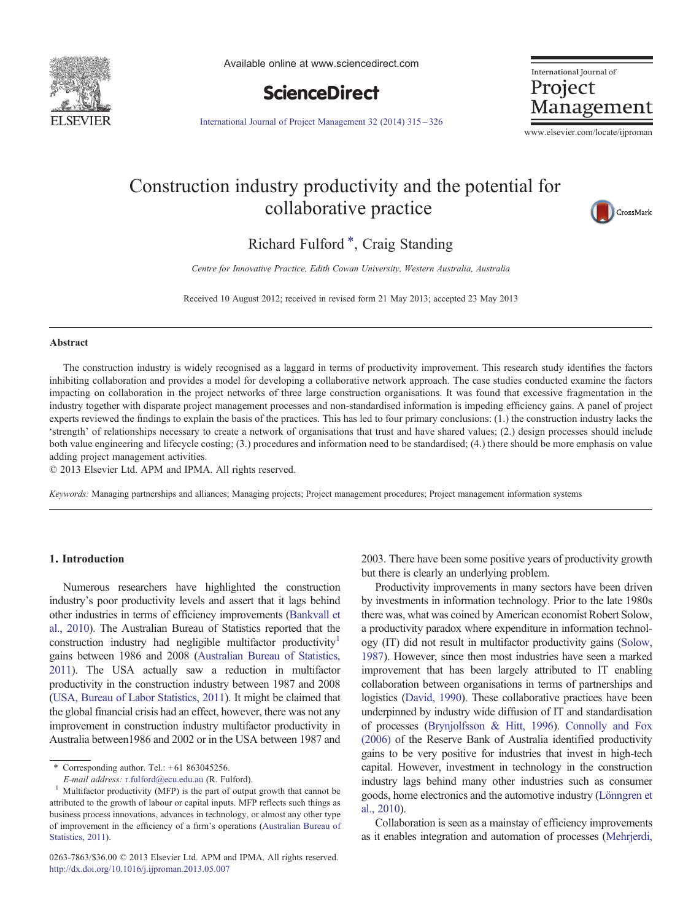

Available online at www.sciencedirect.com



International Journal of Project Management

[International Journal of Project Management 32 \(2014\) 315](http://dx.doi.org/10.1016/j.ijproman.2013.05.007)–326

www.elsevier.com/locate/ijproman

## Construction industry productivity and the potential for collaborative practice



### Richard Fulford<sup>\*</sup>, Craig Standing

Centre for Innovative Practice, Edith Cowan University, Western Australia, Australia

Received 10 August 2012; received in revised form 21 May 2013; accepted 23 May 2013

#### Abstract

The construction industry is widely recognised as a laggard in terms of productivity improvement. This research study identifies the factors inhibiting collaboration and provides a model for developing a collaborative network approach. The case studies conducted examine the factors impacting on collaboration in the project networks of three large construction organisations. It was found that excessive fragmentation in the industry together with disparate project management processes and non-standardised information is impeding efficiency gains. A panel of project experts reviewed the findings to explain the basis of the practices. This has led to four primary conclusions: (1.) the construction industry lacks the 'strength' of relationships necessary to create a network of organisations that trust and have shared values; (2.) design processes should include both value engineering and lifecycle costing; (3.) procedures and information need to be standardised; (4.) there should be more emphasis on value adding project management activities.

© 2013 Elsevier Ltd. APM and IPMA. All rights reserved.

Keywords: Managing partnerships and alliances; Managing projects; Project management procedures; Project management information systems

#### 1. Introduction

Numerous researchers have highlighted the construction industry's poor productivity levels and assert that it lags behind other industries in terms of efficiency improvements ([Bankvall et](#page--1-0) [al., 2010\)](#page--1-0). The Australian Bureau of Statistics reported that the construction industry had negligible multifactor productivity<sup>1</sup> gains between 1986 and 2008 [\(Australian Bureau of Statistics,](#page--1-0) [2011\)](#page--1-0). The USA actually saw a reduction in multifactor productivity in the construction industry between 1987 and 2008 ([USA, Bureau of Labor Statistics, 2011\)](#page--1-0). It might be claimed that the global financial crisis had an effect, however, there was not any improvement in construction industry multifactor productivity in Australia between1986 and 2002 or in the USA between 1987 and 2003. There have been some positive years of productivity growth but there is clearly an underlying problem.

Productivity improvements in many sectors have been driven by investments in information technology. Prior to the late 1980s there was, what was coined by American economist Robert Solow, a productivity paradox where expenditure in information technology (IT) did not result in multifactor productivity gains ([Solow,](#page--1-0) [1987\)](#page--1-0). However, since then most industries have seen a marked improvement that has been largely attributed to IT enabling collaboration between organisations in terms of partnerships and logistics [\(David, 1990\)](#page--1-0). These collaborative practices have been underpinned by industry wide diffusion of IT and standardisation of processes [\(Brynjolfsson & Hitt, 1996](#page--1-0)). [Connolly and Fox](#page--1-0) [\(2006\)](#page--1-0) of the Reserve Bank of Australia identified productivity gains to be very positive for industries that invest in high-tech capital. However, investment in technology in the construction industry lags behind many other industries such as consumer goods, home electronics and the automotive industry [\(Lönngren et](#page--1-0) [al., 2010\)](#page--1-0).

Collaboration is seen as a mainstay of efficiency improvements as it enables integration and automation of processes [\(Mehrjerdi,](#page--1-0)

<sup>⁎</sup> Corresponding author. Tel.: +61 863045256.

E-mail address: [r.fulford@ecu.edu.au](mailto:r.fulford@ecu.edu.au) (R. Fulford).<br><sup>1</sup> Multifactor productivity (MFP) is the part of output growth that cannot be attributed to the growth of labour or capital inputs. MFP reflects such things as business process innovations, advances in technology, or almost any other type of improvement in the efficiency of a firm's operations [\(Australian Bureau of](#page--1-0) [Statistics, 2011](#page--1-0)).

<sup>0263-7863/\$36.00 © 2013</sup> Elsevier Ltd. APM and IPMA. All rights reserved. <http://dx.doi.org/10.1016/j.ijproman.2013.05.007>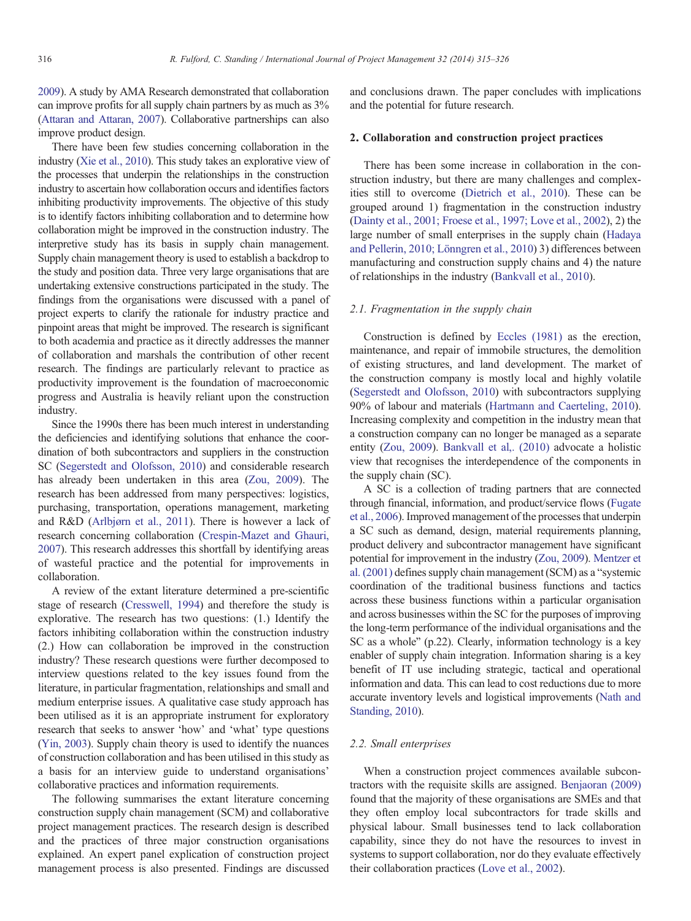[2009\)](#page--1-0). A study by AMA Research demonstrated that collaboration can improve profits for all supply chain partners by as much as 3% ([Attaran and Attaran, 2007](#page--1-0)). Collaborative partnerships can also improve product design.

There have been few studies concerning collaboration in the industry [\(Xie et al., 2010](#page--1-0)). This study takes an explorative view of the processes that underpin the relationships in the construction industry to ascertain how collaboration occurs and identifies factors inhibiting productivity improvements. The objective of this study is to identify factors inhibiting collaboration and to determine how collaboration might be improved in the construction industry. The interpretive study has its basis in supply chain management. Supply chain management theory is used to establish a backdrop to the study and position data. Three very large organisations that are undertaking extensive constructions participated in the study. The findings from the organisations were discussed with a panel of project experts to clarify the rationale for industry practice and pinpoint areas that might be improved. The research is significant to both academia and practice as it directly addresses the manner of collaboration and marshals the contribution of other recent research. The findings are particularly relevant to practice as productivity improvement is the foundation of macroeconomic progress and Australia is heavily reliant upon the construction industry.

Since the 1990s there has been much interest in understanding the deficiencies and identifying solutions that enhance the coordination of both subcontractors and suppliers in the construction SC ([Segerstedt and Olofsson, 2010](#page--1-0)) and considerable research has already been undertaken in this area [\(Zou, 2009\)](#page--1-0). The research has been addressed from many perspectives: logistics, purchasing, transportation, operations management, marketing and R&D [\(Arlbjørn et al., 2011\)](#page--1-0). There is however a lack of research concerning collaboration [\(Crespin-Mazet and Ghauri,](#page--1-0) [2007](#page--1-0)). This research addresses this shortfall by identifying areas of wasteful practice and the potential for improvements in collaboration.

A review of the extant literature determined a pre-scientific stage of research [\(Cresswell, 1994](#page--1-0)) and therefore the study is explorative. The research has two questions: (1.) Identify the factors inhibiting collaboration within the construction industry (2.) How can collaboration be improved in the construction industry? These research questions were further decomposed to interview questions related to the key issues found from the literature, in particular fragmentation, relationships and small and medium enterprise issues. A qualitative case study approach has been utilised as it is an appropriate instrument for exploratory research that seeks to answer 'how' and 'what' type questions ([Yin, 2003](#page--1-0)). Supply chain theory is used to identify the nuances of construction collaboration and has been utilised in this study as a basis for an interview guide to understand organisations' collaborative practices and information requirements.

The following summarises the extant literature concerning construction supply chain management (SCM) and collaborative project management practices. The research design is described and the practices of three major construction organisations explained. An expert panel explication of construction project management process is also presented. Findings are discussed and conclusions drawn. The paper concludes with implications and the potential for future research.

#### 2. Collaboration and construction project practices

There has been some increase in collaboration in the construction industry, but there are many challenges and complexities still to overcome [\(Dietrich et al., 2010](#page--1-0)). These can be grouped around 1) fragmentation in the construction industry ([Dainty et al., 2001; Froese et al., 1997; Love et al., 2002\)](#page--1-0), 2) the large number of small enterprises in the supply chain [\(Hadaya](#page--1-0) [and Pellerin, 2010; Lönngren et al., 2010\)](#page--1-0) 3) differences between manufacturing and construction supply chains and 4) the nature of relationships in the industry ([Bankvall et al., 2010\)](#page--1-0).

#### 2.1. Fragmentation in the supply chain

Construction is defined by [Eccles \(1981\)](#page--1-0) as the erection, maintenance, and repair of immobile structures, the demolition of existing structures, and land development. The market of the construction company is mostly local and highly volatile ([Segerstedt and Olofsson, 2010\)](#page--1-0) with subcontractors supplying 90% of labour and materials ([Hartmann and Caerteling, 2010](#page--1-0)). Increasing complexity and competition in the industry mean that a construction company can no longer be managed as a separate entity ([Zou, 2009\)](#page--1-0). [Bankvall et al,. \(2010\)](#page--1-0) advocate a holistic view that recognises the interdependence of the components in the supply chain (SC).

A SC is a collection of trading partners that are connected through financial, information, and product/service flows ([Fugate](#page--1-0) [et al., 2006](#page--1-0)). Improved management of the processes that underpin a SC such as demand, design, material requirements planning, product delivery and subcontractor management have significant potential for improvement in the industry [\(Zou, 2009\)](#page--1-0). [Mentzer et](#page--1-0) [al. \(2001\)](#page--1-0) defines supply chain management (SCM) as a "systemic coordination of the traditional business functions and tactics across these business functions within a particular organisation and across businesses within the SC for the purposes of improving the long-term performance of the individual organisations and the SC as a whole" (p.22). Clearly, information technology is a key enabler of supply chain integration. Information sharing is a key benefit of IT use including strategic, tactical and operational information and data. This can lead to cost reductions due to more accurate inventory levels and logistical improvements [\(Nath and](#page--1-0) [Standing, 2010](#page--1-0)).

### 2.2. Small enterprises

When a construction project commences available subcontractors with the requisite skills are assigned. [Benjaoran \(2009\)](#page--1-0) found that the majority of these organisations are SMEs and that they often employ local subcontractors for trade skills and physical labour. Small businesses tend to lack collaboration capability, since they do not have the resources to invest in systems to support collaboration, nor do they evaluate effectively their collaboration practices ([Love et al., 2002\)](#page--1-0).